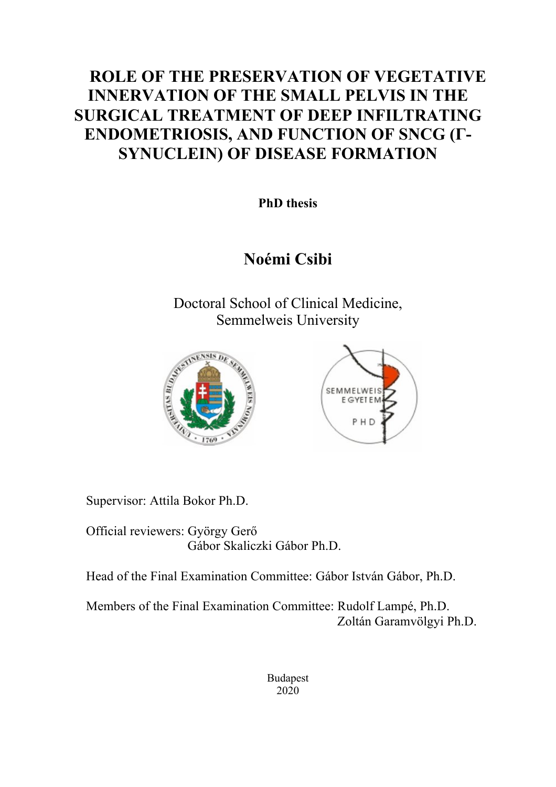# **ROLE OF THE PRESERVATION OF VEGETATIVE INNERVATION OF THE SMALL PELVIS IN THE SURGICAL TREATMENT OF DEEP INFILTRATING ENDOMETRIOSIS, AND FUNCTION OF SNCG (Γ-SYNUCLEIN) OF DISEASE FORMATION**

**PhD thesis**

# **Noémi Csibi**

Doctoral School of Clinical Medicine, Semmelweis University





Supervisor: Attila Bokor Ph.D.

Official reviewers: György Gerő Gábor Skaliczki Gábor Ph.D.

Head of the Final Examination Committee: Gábor István Gábor, Ph.D.

Members of the Final Examination Committee: Rudolf Lampé, Ph.D. Zoltán Garamvölgyi Ph.D.

> Budapest 2020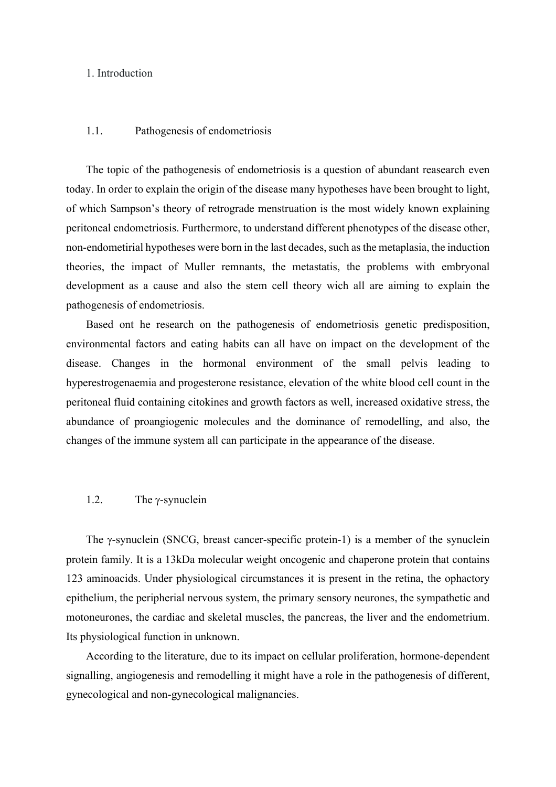## 1. Introduction

#### 1.1. Pathogenesis of endometriosis

The topic of the pathogenesis of endometriosis is a question of abundant reasearch even today. In order to explain the origin of the disease many hypotheses have been brought to light, of which Sampson's theory of retrograde menstruation is the most widely known explaining peritoneal endometriosis. Furthermore, to understand different phenotypes of the disease other, non-endometirial hypotheses were born in the last decades, such as the metaplasia, the induction theories, the impact of Muller remnants, the metastatis, the problems with embryonal development as a cause and also the stem cell theory wich all are aiming to explain the pathogenesis of endometriosis.

Based ont he research on the pathogenesis of endometriosis genetic predisposition, environmental factors and eating habits can all have on impact on the development of the disease. Changes in the hormonal environment of the small pelvis leading to hyperestrogenaemia and progesterone resistance, elevation of the white blood cell count in the peritoneal fluid containing citokines and growth factors as well, increased oxidative stress, the abundance of proangiogenic molecules and the dominance of remodelling, and also, the changes of the immune system all can participate in the appearance of the disease.

### 1.2. The  $\gamma$ -synuclein

The  $\gamma$ -synuclein (SNCG, breast cancer-specific protein-1) is a member of the synuclein protein family. It is a 13kDa molecular weight oncogenic and chaperone protein that contains 123 aminoacids. Under physiological circumstances it is present in the retina, the ophactory epithelium, the peripherial nervous system, the primary sensory neurones, the sympathetic and motoneurones, the cardiac and skeletal muscles, the pancreas, the liver and the endometrium. Its physiological function in unknown.

According to the literature, due to its impact on cellular proliferation, hormone-dependent signalling, angiogenesis and remodelling it might have a role in the pathogenesis of different, gynecological and non-gynecological malignancies.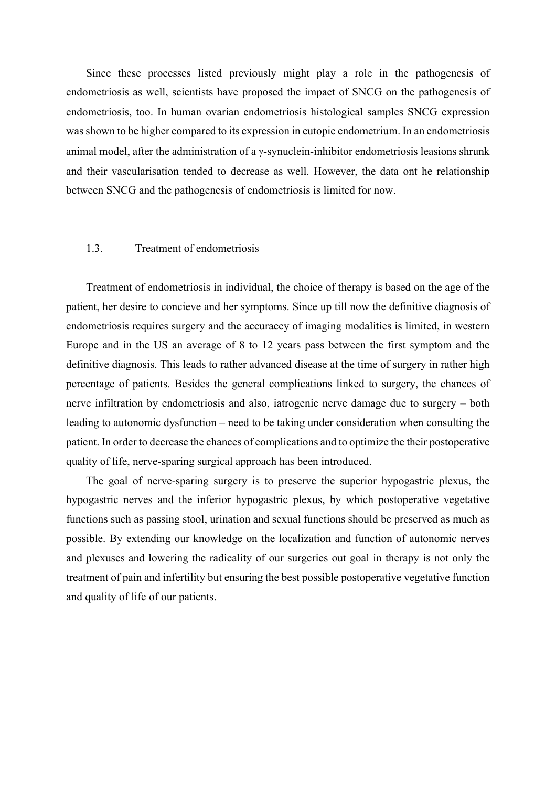Since these processes listed previously might play a role in the pathogenesis of endometriosis as well, scientists have proposed the impact of SNCG on the pathogenesis of endometriosis, too. In human ovarian endometriosis histological samples SNCG expression was shown to be higher compared to its expression in eutopic endometrium. In an endometriosis animal model, after the administration of a  $\gamma$ -synuclein-inhibitor endometriosis leasions shrunk and their vascularisation tended to decrease as well. However, the data ont he relationship between SNCG and the pathogenesis of endometriosis is limited for now.

#### 1.3. Treatment of endometriosis

Treatment of endometriosis in individual, the choice of therapy is based on the age of the patient, her desire to concieve and her symptoms. Since up till now the definitive diagnosis of endometriosis requires surgery and the accuraccy of imaging modalities is limited, in western Europe and in the US an average of 8 to 12 years pass between the first symptom and the definitive diagnosis. This leads to rather advanced disease at the time of surgery in rather high percentage of patients. Besides the general complications linked to surgery, the chances of nerve infiltration by endometriosis and also, iatrogenic nerve damage due to surgery – both leading to autonomic dysfunction – need to be taking under consideration when consulting the patient. In order to decrease the chances of complications and to optimize the their postoperative quality of life, nerve-sparing surgical approach has been introduced.

The goal of nerve-sparing surgery is to preserve the superior hypogastric plexus, the hypogastric nerves and the inferior hypogastric plexus, by which postoperative vegetative functions such as passing stool, urination and sexual functions should be preserved as much as possible. By extending our knowledge on the localization and function of autonomic nerves and plexuses and lowering the radicality of our surgeries out goal in therapy is not only the treatment of pain and infertility but ensuring the best possible postoperative vegetative function and quality of life of our patients.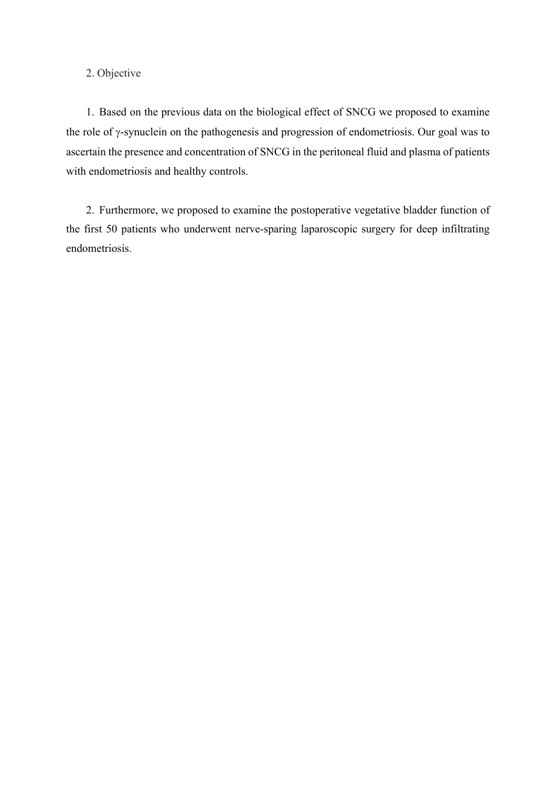# 2. Objective

1. Based on the previous data on the biological effect of SNCG we proposed to examine the role of y-synuclein on the pathogenesis and progression of endometriosis. Our goal was to ascertain the presence and concentration of SNCG in the peritoneal fluid and plasma of patients with endometriosis and healthy controls.

2. Furthermore, we proposed to examine the postoperative vegetative bladder function of the first 50 patients who underwent nerve-sparing laparoscopic surgery for deep infiltrating endometriosis.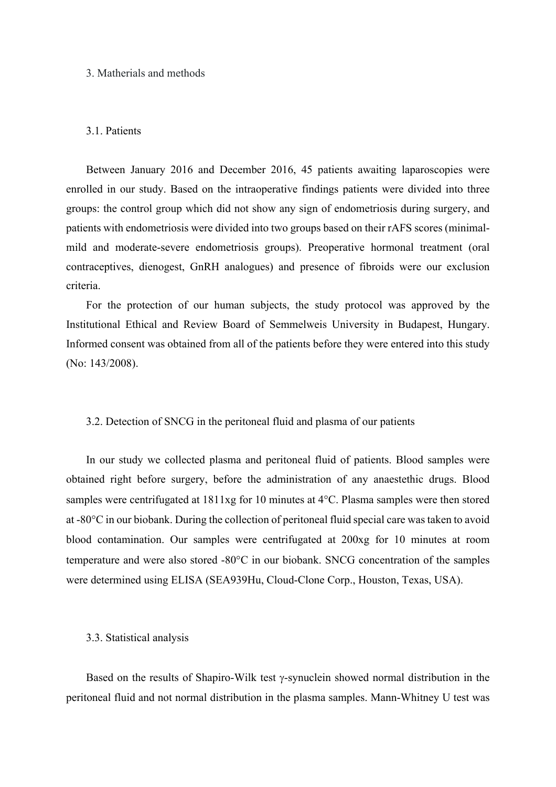#### 3. Matherials and methods

#### 3.1. Patients

Between January 2016 and December 2016, 45 patients awaiting laparoscopies were enrolled in our study. Based on the intraoperative findings patients were divided into three groups: the control group which did not show any sign of endometriosis during surgery, and patients with endometriosis were divided into two groups based on their rAFS scores (minimalmild and moderate-severe endometriosis groups). Preoperative hormonal treatment (oral contraceptives, dienogest, GnRH analogues) and presence of fibroids were our exclusion criteria.

For the protection of our human subjects, the study protocol was approved by the Institutional Ethical and Review Board of Semmelweis University in Budapest, Hungary. Informed consent was obtained from all of the patients before they were entered into this study (No: 143/2008).

#### 3.2. Detection of SNCG in the peritoneal fluid and plasma of our patients

In our study we collected plasma and peritoneal fluid of patients. Blood samples were obtained right before surgery, before the administration of any anaestethic drugs. Blood samples were centrifugated at 1811xg for 10 minutes at 4°C. Plasma samples were then stored at -80°C in our biobank. During the collection of peritoneal fluid special care was taken to avoid blood contamination. Our samples were centrifugated at 200xg for 10 minutes at room temperature and were also stored -80°C in our biobank. SNCG concentration of the samples were determined using ELISA (SEA939Hu, Cloud-Clone Corp., Houston, Texas, USA).

#### 3.3. Statistical analysis

Based on the results of Shapiro-Wilk test  $\gamma$ -synuclein showed normal distribution in the peritoneal fluid and not normal distribution in the plasma samples. Mann-Whitney U test was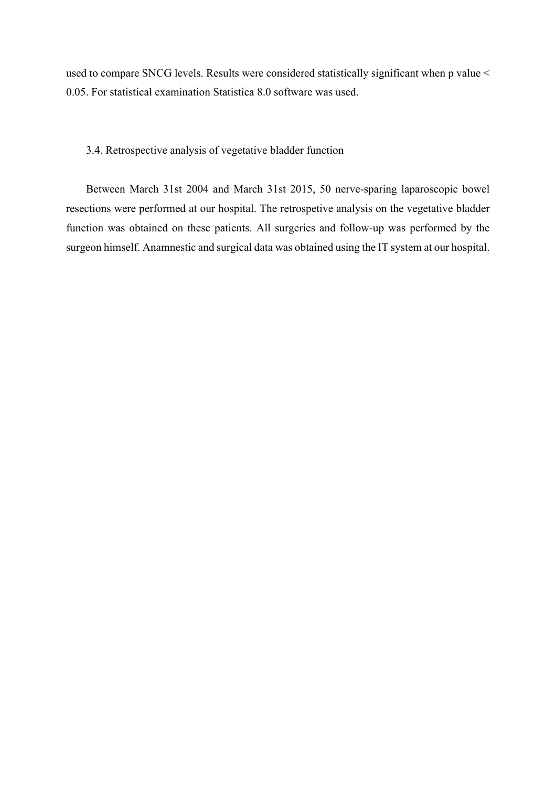used to compare SNCG levels. Results were considered statistically significant when p value < 0.05. For statistical examination Statistica 8.0 software was used.

## 3.4. Retrospective analysis of vegetative bladder function

Between March 31st 2004 and March 31st 2015, 50 nerve-sparing laparoscopic bowel resections were performed at our hospital. The retrospetive analysis on the vegetative bladder function was obtained on these patients. All surgeries and follow-up was performed by the surgeon himself. Anamnestic and surgical data was obtained using the IT system at our hospital.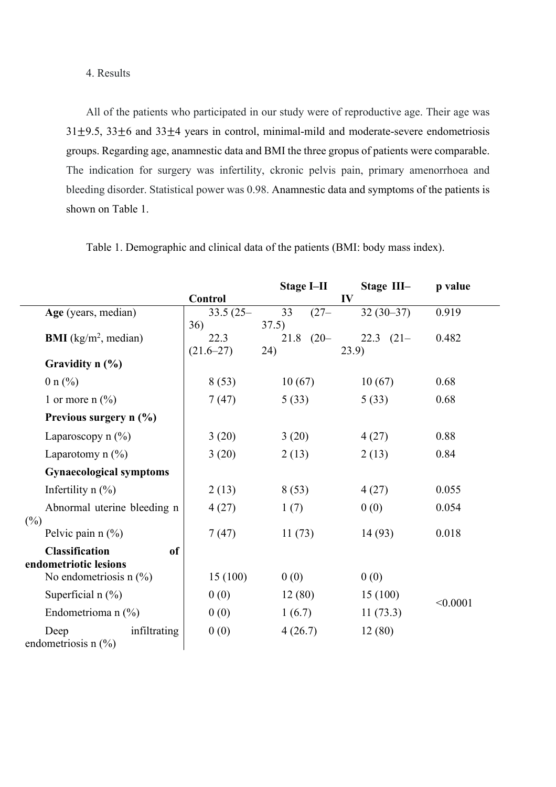# 4. Results

All of the patients who participated in our study were of reproductive age. Their age was  $31\pm9.5$ ,  $33\pm6$  and  $33\pm4$  years in control, minimal-mild and moderate-severe endometriosis groups. Regarding age, anamnestic data and BMI the three gropus of patients were comparable. The indication for surgery was infertility, ckronic pelvis pain, primary amenorrhoea and bleeding disorder. Statistical power was 0.98. Anamnestic data and symptoms of the patients is shown on Table 1.

|                                                 |               | <b>Stage I-II</b> | Stage III-   | p value  |
|-------------------------------------------------|---------------|-------------------|--------------|----------|
|                                                 | Control       |                   | IV           |          |
| Age (years, median)                             | $33.5(25 -$   | 33<br>$(27 -$     | $32(30-37)$  | 0.919    |
|                                                 | 36)           | 37.5)             |              |          |
| <b>BMI</b> ( $\text{kg/m}^2$ , median)          | 22.3          | $21.8$ $(20 -$    | 22.3 $(21 -$ | 0.482    |
| Gravidity $n$ $(\%)$                            | $(21.6 - 27)$ | 24)               | (23.9)       |          |
| 0 n $(\% )$                                     | 8(53)         | 10(67)            | 10(67)       | 0.68     |
| 1 or more n $(\% )$                             | 7(47)         | 5(33)             | 5(33)        | 0.68     |
| Previous surgery $n$ (%)                        |               |                   |              |          |
| Laparoscopy $n$ (%)                             | 3(20)         | 3(20)             | 4(27)        | 0.88     |
| Laparotomy $n$ (%)                              | 3(20)         | 2(13)             | 2(13)        | 0.84     |
| <b>Gynaecological symptoms</b>                  |               |                   |              |          |
| Infertility $n$ (%)                             | 2(13)         | 8(53)             | 4(27)        | 0.055    |
| Abnormal uterine bleeding n                     | 4(27)         | 1(7)              | 0(0)         | 0.054    |
| $(\%)$                                          |               |                   |              |          |
| Pelvic pain $n$ (%)                             | 7(47)         | 11(73)            | 14(93)       | 0.018    |
| <b>Classification</b><br><sub>of</sub>          |               |                   |              |          |
| endometriotic lesions                           |               |                   |              |          |
| No endometriosis n $(\%)$                       | 15(100)       | 0(0)              | 0(0)         |          |
| Superficial $n$ (%)                             | 0(0)          | 12(80)            | 15(100)      | < 0.0001 |
| Endometrioma n $(\%)$                           | 0(0)          | 1(6.7)            | 11(73.3)     |          |
| infiltrating<br>Deep<br>endometriosis n $(\% )$ | 0(0)          | 4(26.7)           | 12(80)       |          |

Table 1. Demographic and clinical data of the patients (BMI: body mass index).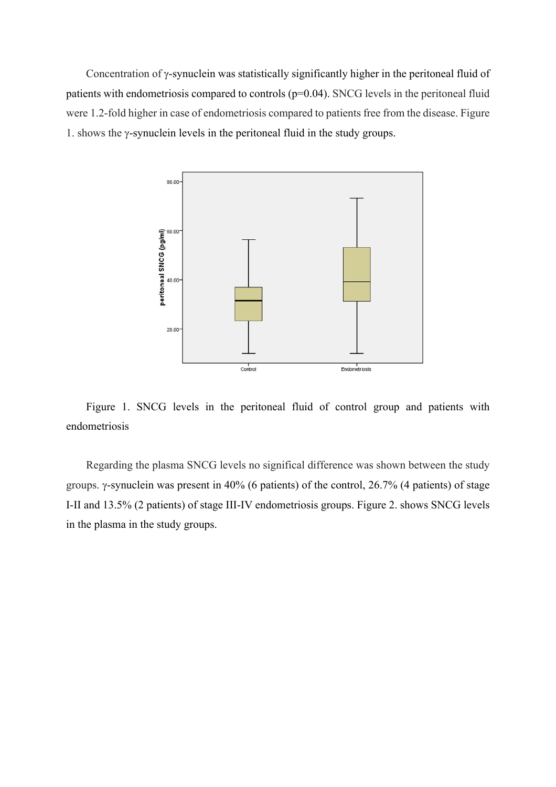Concentration of  $\gamma$ -synuclein was statistically significantly higher in the peritoneal fluid of patients with endometriosis compared to controls  $(p=0.04)$ . SNCG levels in the peritoneal fluid were 1.2-fold higher in case of endometriosis compared to patients free from the disease. Figure 1. shows the  $\gamma$ -synuclein levels in the peritoneal fluid in the study groups.



Figure 1. SNCG levels in the peritoneal fluid of control group and patients with endometriosis

Regarding the plasma SNCG levels no significal difference was shown between the study groups.  $\gamma$ -synuclein was present in 40% (6 patients) of the control, 26.7% (4 patients) of stage I-II and 13.5% (2 patients) of stage III-IV endometriosis groups. Figure 2. shows SNCG levels in the plasma in the study groups.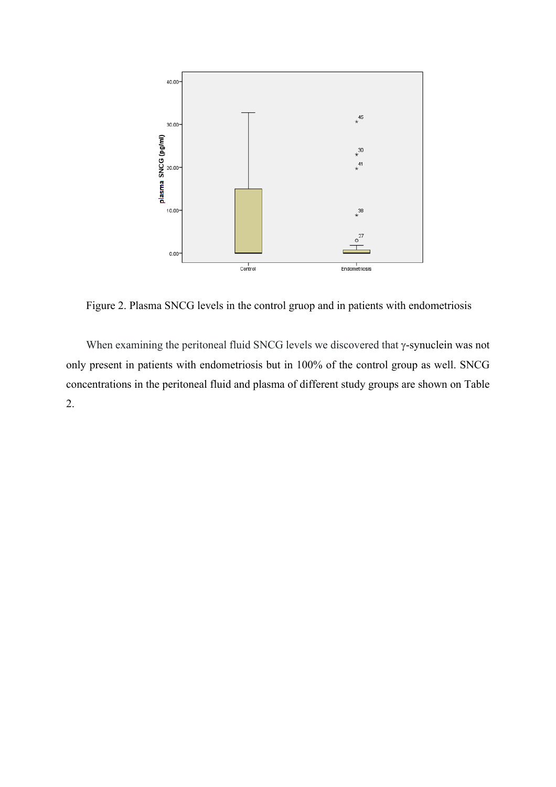

Figure 2. Plasma SNCG levels in the control gruop and in patients with endometriosis

When examining the peritoneal fluid SNCG levels we discovered that  $\gamma$ -synuclein was not only present in patients with endometriosis but in 100% of the control group as well. SNCG concentrations in the peritoneal fluid and plasma of different study groups are shown on Table 2.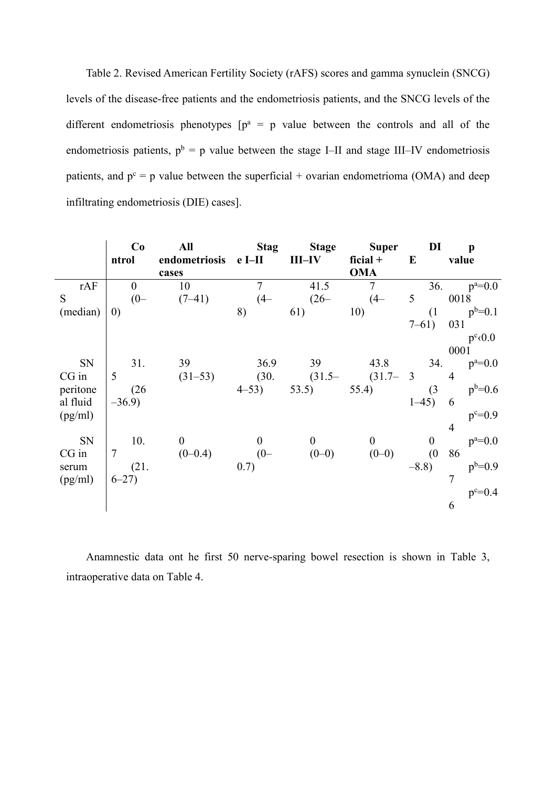Table 2. Revised American Fertility Society (rAFS) scores and gamma synuclein (SNCG) levels of the disease-free patients and the endometriosis patients, and the SNCG levels of the different endometriosis phenotypes  $[p^a = p]$  value between the controls and all of the endometriosis patients,  $p^b = p$  value between the stage I–II and stage III–IV endometriosis patients, and  $p^c = p$  value between the superficial + ovarian endometrioma (OMA) and deep infiltrating endometriosis (DIE) cases].

|          | Co<br>ntrol    | All<br>endometriosis<br>cases | <b>Stag</b><br>e I <sub>II</sub> | <b>Stage</b><br>$III$ -IV | <b>Super</b><br>ficial $+$<br><b>OMA</b> | DI<br>E          | $\mathbf{p}$<br>value |
|----------|----------------|-------------------------------|----------------------------------|---------------------------|------------------------------------------|------------------|-----------------------|
| rAF      | $\overline{0}$ | 10                            | $\overline{7}$                   | 41.5                      | $\overline{7}$                           |                  | 36.<br>$p^a = 0.0$    |
| S        | $(0 -$         | $(7-41)$                      | $(4 -$                           | $(26 -$                   | $(4 -$                                   | 5                | 0018                  |
| (median) | (0)            |                               | 8)                               | 61)                       | 10)                                      | (1)              | $p^b = 0.1$           |
|          |                |                               |                                  |                           |                                          | $7 - 61$         | 031                   |
|          |                |                               |                                  |                           |                                          |                  | $p^c(0.0)$            |
|          |                |                               |                                  |                           |                                          |                  | 0001                  |
| SN       | 31.            | 39                            | 36.9                             | 39                        | 43.8                                     | 34.              | $p^a = 0.0$           |
| $CG$ in  | 5              | $(31-53)$                     | (30.                             | $(31.5 -$                 | $(31.7 - 3)$                             |                  | $\overline{4}$        |
| peritone | (26)           |                               | $4 - 53$                         | 53.5)                     | 55.4)                                    | (3)              | $p^{b=0.6}$           |
| al fluid | $-36.9$        |                               |                                  |                           |                                          | $1 - 45$         | 6                     |
| (pg/ml)  |                |                               |                                  |                           |                                          |                  | $p^c = 0.9$           |
|          |                |                               |                                  |                           |                                          |                  | $\overline{4}$        |
| SN       | 10.            | $\overline{0}$                | $\boldsymbol{0}$                 | $\overline{0}$            | $\boldsymbol{0}$                         | $\boldsymbol{0}$ | $p^a = 0.0$           |
| $CG$ in  |                | $(0-0.4)$                     | $(0-$<br>0.7)                    | $(0-0)$                   | $(0-0)$                                  | (0)<br>$-8.8$    | 86                    |
| serum    | (21.           |                               |                                  |                           |                                          |                  | $p^{b=0.9}$<br>7      |
| (pg/ml)  | $6 - 27$       |                               |                                  |                           |                                          |                  | $p^c = 0.4$           |
|          |                |                               |                                  |                           |                                          |                  | 6                     |
|          |                |                               |                                  |                           |                                          |                  |                       |

Anamnestic data ont he first 50 nerve-sparing bowel resection is shown in Table 3, intraoperative data on Table 4.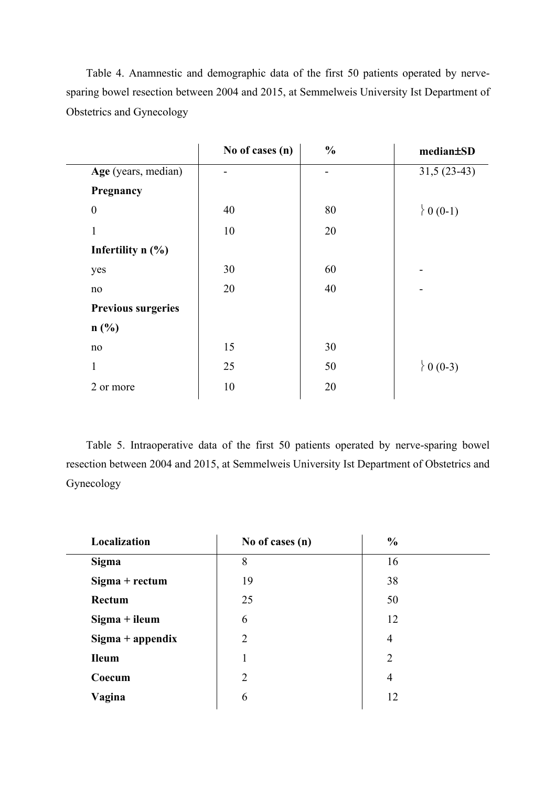Table 4. Anamnestic and demographic data of the first 50 patients operated by nervesparing bowel resection between 2004 and 2015, at Semmelweis University Ist Department of Obstetrics and Gynecology

|                           | No of cases (n) | $\frac{0}{0}$ | median±SD        |
|---------------------------|-----------------|---------------|------------------|
| Age (years, median)       |                 |               | $31,5(23-43)$    |
| Pregnancy                 |                 |               |                  |
| $\boldsymbol{0}$          | 40              | 80            | $\{0(0-1)\}$     |
| 1                         | 10              | 20            |                  |
| Infertility $n$ (%)       |                 |               |                  |
| yes                       | 30              | 60            |                  |
| no                        | 20              | 40            |                  |
| <b>Previous surgeries</b> |                 |               |                  |
| n(%)                      |                 |               |                  |
| no                        | 15              | 30            |                  |
| $\mathbf{1}$              | 25              | 50            | $\big\} 0$ (0-3) |
| 2 or more                 | 10              | 20            |                  |
|                           |                 |               |                  |

Table 5. Intraoperative data of the first 50 patients operated by nerve-sparing bowel resection between 2004 and 2015, at Semmelweis University Ist Department of Obstetrics and Gynecology

| Localization       | No of cases (n) | $\frac{0}{0}$  |  |
|--------------------|-----------------|----------------|--|
| <b>Sigma</b>       | 8               | 16             |  |
| $Sigma + rectum$   | 19              | 38             |  |
| Rectum             | 25              | 50             |  |
| $Sigma + i$ leum   | 6               | 12             |  |
| $Sigma + appendix$ | $\overline{2}$  | $\overline{4}$ |  |
| <b>Ileum</b>       |                 | $\overline{2}$ |  |
| Coecum             | $\overline{2}$  | $\overline{4}$ |  |
| Vagina             | 6               | 12             |  |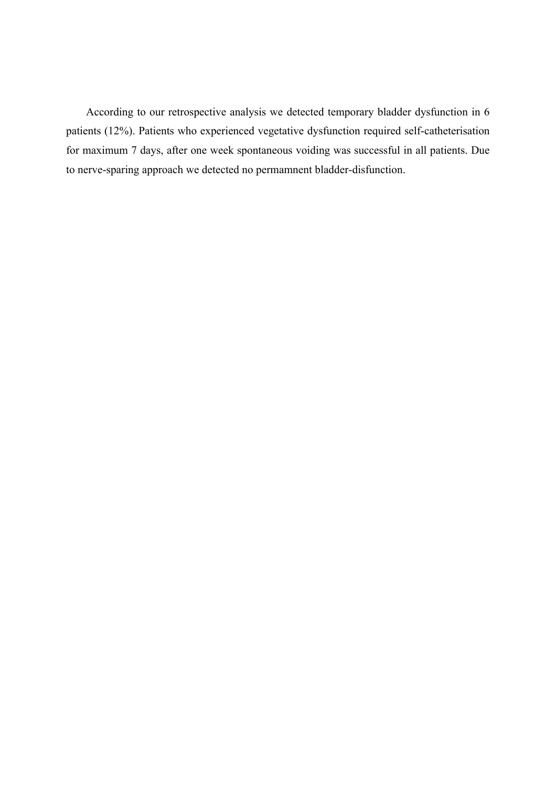According to our retrospective analysis we detected temporary bladder dysfunction in 6 patients (12%). Patients who experienced vegetative dysfunction required self-catheterisation for maximum 7 days, after one week spontaneous voiding was successful in all patients. Due to nerve-sparing approach we detected no permamnent bladder-disfunction.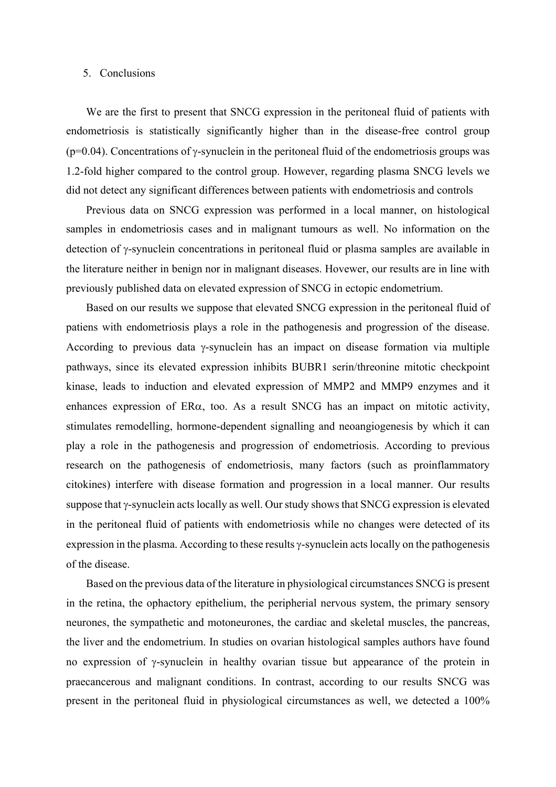#### 5. Conclusions

We are the first to present that SNCG expression in the peritoneal fluid of patients with endometriosis is statistically significantly higher than in the disease-free control group  $(p=0.04)$ . Concentrations of  $\gamma$ -synuclein in the peritoneal fluid of the endometriosis groups was 1.2-fold higher compared to the control group. However, regarding plasma SNCG levels we did not detect any significant differences between patients with endometriosis and controls

Previous data on SNCG expression was performed in a local manner, on histological samples in endometriosis cases and in malignant tumours as well. No information on the detection of  $\gamma$ -synuclein concentrations in peritoneal fluid or plasma samples are available in the literature neither in benign nor in malignant diseases. Hovewer, our results are in line with previously published data on elevated expression of SNCG in ectopic endometrium.

Based on our results we suppose that elevated SNCG expression in the peritoneal fluid of patiens with endometriosis plays a role in the pathogenesis and progression of the disease. According to previous data  $\gamma$ -synuclein has an impact on disease formation via multiple pathways, since its elevated expression inhibits BUBR1 serin/threonine mitotic checkpoint kinase, leads to induction and elevated expression of MMP2 and MMP9 enzymes and it enhances expression of  $ER\alpha$ , too. As a result SNCG has an impact on mitotic activity, stimulates remodelling, hormone-dependent signalling and neoangiogenesis by which it can play a role in the pathogenesis and progression of endometriosis. According to previous research on the pathogenesis of endometriosis, many factors (such as proinflammatory citokines) interfere with disease formation and progression in a local manner. Our results suppose that  $\gamma$ -synuclein acts locally as well. Our study shows that SNCG expression is elevated in the peritoneal fluid of patients with endometriosis while no changes were detected of its expression in the plasma. According to these results  $\gamma$ -synuclein acts locally on the pathogenesis of the disease.

Based on the previous data of the literature in physiological circumstances SNCG is present in the retina, the ophactory epithelium, the peripherial nervous system, the primary sensory neurones, the sympathetic and motoneurones, the cardiac and skeletal muscles, the pancreas, the liver and the endometrium. In studies on ovarian histological samples authors have found no expression of  $\gamma$ -synuclein in healthy ovarian tissue but appearance of the protein in praecancerous and malignant conditions. In contrast, according to our results SNCG was present in the peritoneal fluid in physiological circumstances as well, we detected a 100%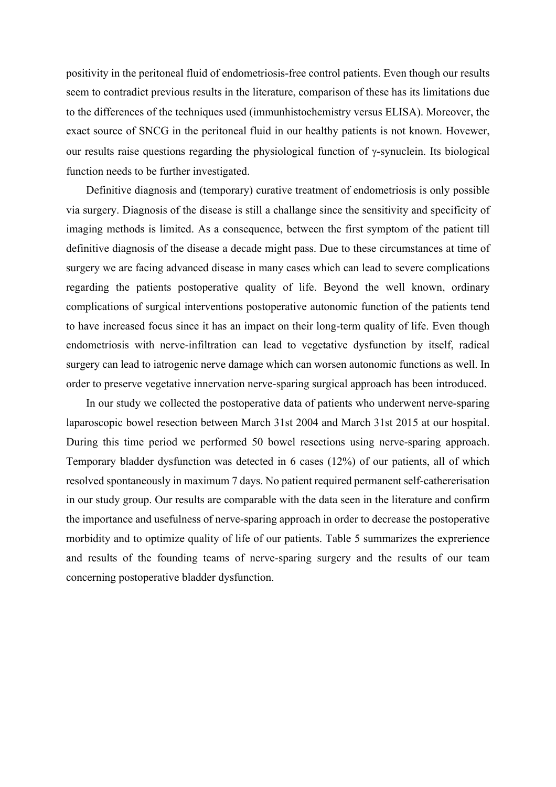positivity in the peritoneal fluid of endometriosis-free control patients. Even though our results seem to contradict previous results in the literature, comparison of these has its limitations due to the differences of the techniques used (immunhistochemistry versus ELISA). Moreover, the exact source of SNCG in the peritoneal fluid in our healthy patients is not known. Hovewer, our results raise questions regarding the physiological function of  $\gamma$ -synuclein. Its biological function needs to be further investigated.

Definitive diagnosis and (temporary) curative treatment of endometriosis is only possible via surgery. Diagnosis of the disease is still a challange since the sensitivity and specificity of imaging methods is limited. As a consequence, between the first symptom of the patient till definitive diagnosis of the disease a decade might pass. Due to these circumstances at time of surgery we are facing advanced disease in many cases which can lead to severe complications regarding the patients postoperative quality of life. Beyond the well known, ordinary complications of surgical interventions postoperative autonomic function of the patients tend to have increased focus since it has an impact on their long-term quality of life. Even though endometriosis with nerve-infiltration can lead to vegetative dysfunction by itself, radical surgery can lead to iatrogenic nerve damage which can worsen autonomic functions as well. In order to preserve vegetative innervation nerve-sparing surgical approach has been introduced.

In our study we collected the postoperative data of patients who underwent nerve-sparing laparoscopic bowel resection between March 31st 2004 and March 31st 2015 at our hospital. During this time period we performed 50 bowel resections using nerve-sparing approach. Temporary bladder dysfunction was detected in 6 cases (12%) of our patients, all of which resolved spontaneously in maximum 7 days. No patient required permanent self-cathererisation in our study group. Our results are comparable with the data seen in the literature and confirm the importance and usefulness of nerve-sparing approach in order to decrease the postoperative morbidity and to optimize quality of life of our patients. Table 5 summarizes the exprerience and results of the founding teams of nerve-sparing surgery and the results of our team concerning postoperative bladder dysfunction.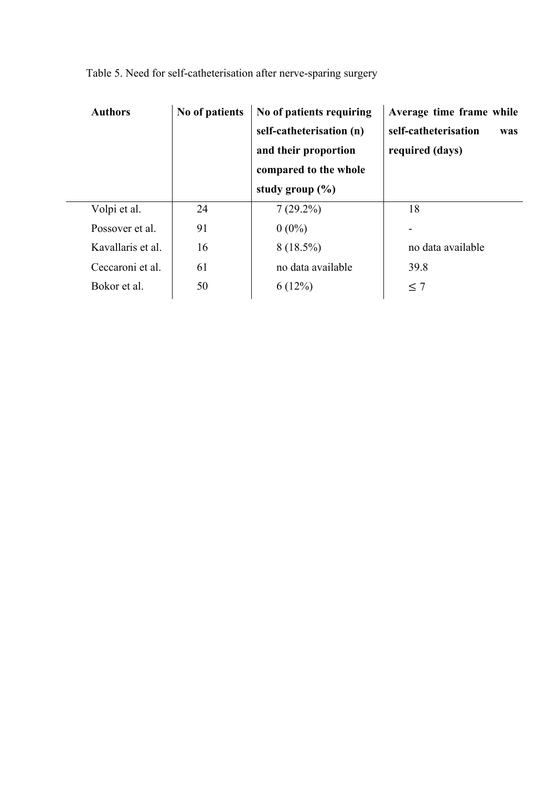| <b>Authors</b>    | No of patients | No of patients requiring<br>self-catheterisation (n)<br>and their proportion<br>compared to the whole<br>study group $(\% )$ | Average time frame while<br>self-catheterisation<br>was<br>required (days) |
|-------------------|----------------|------------------------------------------------------------------------------------------------------------------------------|----------------------------------------------------------------------------|
| Volpi et al.      | 24             | $7(29.2\%)$                                                                                                                  | 18                                                                         |
| Possover et al.   | 91             | $0(0\%)$                                                                                                                     |                                                                            |
| Kavallaris et al. | 16             | $8(18.5\%)$                                                                                                                  | no data available                                                          |
| Ceccaroni et al.  | 61             | no data available                                                                                                            | 39.8                                                                       |
| Bokor et al.      | 50             | 6(12%)                                                                                                                       | $\leq 7$                                                                   |

Table 5. Need for self-catheterisation after nerve-sparing surgery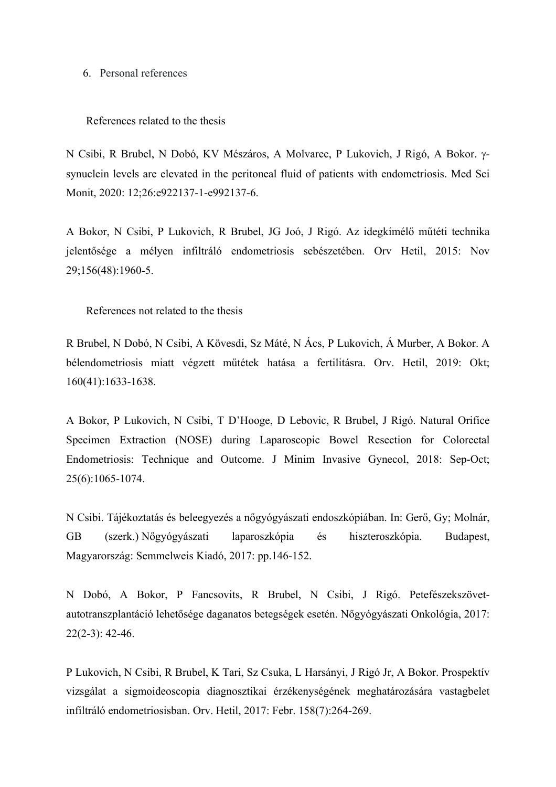#### 6. Personal references

#### References related to the thesis

N Csibi, R Brubel, N Dobó, KV Mészáros, A Molvarec, P Lukovich, J Rigó, A Bokor. gsynuclein levels are elevated in the peritoneal fluid of patients with endometriosis. Med Sci Monit, 2020: 12;26:e922137-1-e992137-6.

A Bokor, N Csibi, P Lukovich, R Brubel, JG Joó, J Rigó. Az idegkímélő műtéti technika jelentősége a mélyen infiltráló endometriosis sebészetében. Orv Hetil, 2015: Nov 29;156(48):1960-5.

References not related to the thesis

R Brubel, N Dobó, N Csibi, A Kövesdi, Sz Máté, N Ács, P Lukovich, Á Murber, A Bokor. A bélendometriosis miatt végzett műtétek hatása a fertilitásra. Orv. Hetil, 2019: Okt; 160(41):1633-1638.

A Bokor, P Lukovich, N Csibi, T D'Hooge, D Lebovic, R Brubel, J Rigó. Natural Orifice Specimen Extraction (NOSE) during Laparoscopic Bowel Resection for Colorectal Endometriosis: Technique and Outcome. J Minim Invasive Gynecol, 2018: Sep-Oct; 25(6):1065-1074.

N Csibi. Tájékoztatás és beleegyezés a nőgyógyászati endoszkópiában. In: Gerő, Gy; Molnár, GB (szerk.) Nőgyógyászati laparoszkópia és hiszteroszkópia. Budapest, Magyarország: Semmelweis Kiadó, 2017: pp.146-152.

N Dobó, A Bokor, P Fancsovits, R Brubel, N Csibi, J Rigó. Petefészekszövetautotranszplantáció lehetősége daganatos betegségek esetén. Nőgyógyászati Onkológia, 2017: 22(2-3): 42-46.

P Lukovich, N Csibi, R Brubel, K Tari, Sz Csuka, L Harsányi, J Rigó Jr, A Bokor. Prospektív vizsgálat a sigmoideoscopia diagnosztikai érzékenységének meghatározására vastagbelet infiltráló endometriosisban. Orv. Hetil, 2017: Febr. 158(7):264-269.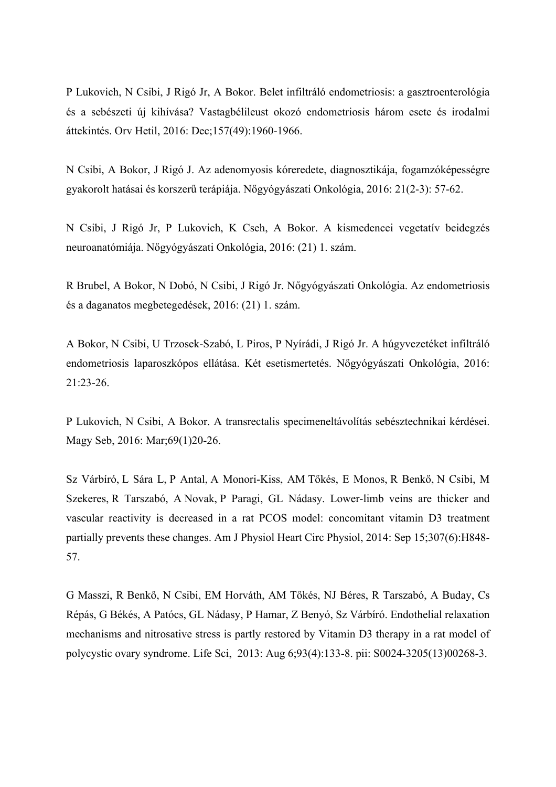P Lukovich, N Csibi, J Rigó Jr, A Bokor. Belet infiltráló endometriosis: a gasztroenterológia és a sebészeti új kihívása? Vastagbélileust okozó endometriosis három esete és irodalmi áttekintés. Orv Hetil, 2016: Dec;157(49):1960-1966.

N Csibi, A Bokor, J Rigó J. Az adenomyosis kóreredete, diagnosztikája, fogamzóképességre gyakorolt hatásai és korszerű terápiája. Nőgyógyászati Onkológia, 2016: 21(2-3): 57-62.

N Csibi, J Rigó Jr, P Lukovich, K Cseh, A Bokor. A kismedencei vegetatív beidegzés neuroanatómiája. Nőgyógyászati Onkológia, 2016: (21) 1. szám.

R Brubel, A Bokor, N Dobó, N Csibi, J Rigó Jr. Nőgyógyászati Onkológia. Az endometriosis és a daganatos megbetegedések, 2016: (21) 1. szám.

A Bokor, N Csibi, U Trzosek-Szabó, L Piros, P Nyírádi, J Rigó Jr. A húgyvezetéket infiltráló endometriosis laparoszkópos ellátása. Két esetismertetés. Nőgyógyászati Onkológia, 2016: 21:23-26.

P Lukovich, N Csibi, A Bokor. A transrectalis specimeneltávolítás sebésztechnikai kérdései. Magy Seb, 2016: Mar;69(1)20-26.

Sz Várbíró, L Sára L, P Antal, A Monori-Kiss, AM Tőkés, E Monos, R Benkő, N Csibi, M Szekeres, R Tarszabó, A Novak, P Paragi, GL Nádasy. Lower-limb veins are thicker and vascular reactivity is decreased in a rat PCOS model: concomitant vitamin D3 treatment partially prevents these changes. Am J Physiol Heart Circ Physiol, 2014: Sep 15;307(6):H848- 57.

G Masszi, R Benkő, N Csibi, EM Horváth, AM Tőkés, NJ Béres, R Tarszabó, A Buday, Cs Répás, G Békés, A Patócs, GL Nádasy, P Hamar, Z Benyó, Sz Várbíró. Endothelial relaxation mechanisms and nitrosative stress is partly restored by Vitamin D3 therapy in a rat model of polycystic ovary syndrome. Life Sci, 2013: Aug 6;93(4):133-8. pii: S0024-3205(13)00268-3.